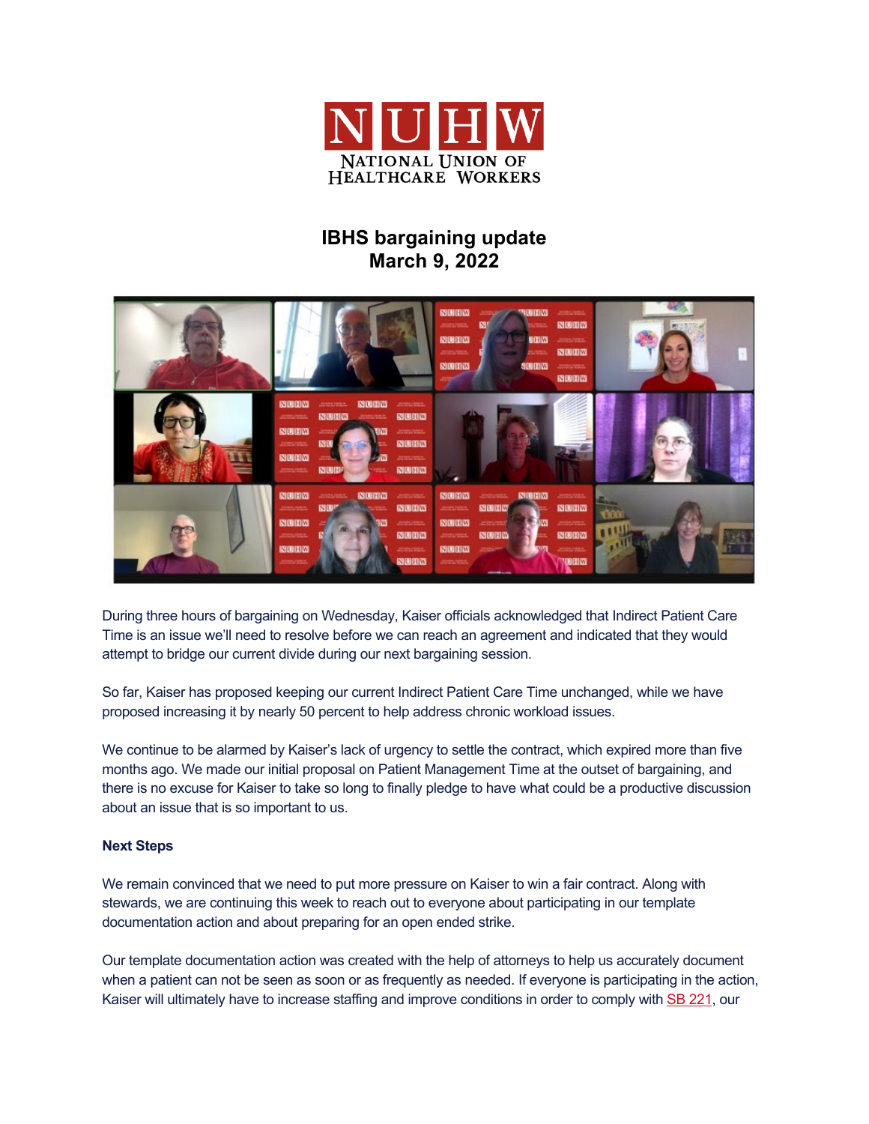

## **IBHS bargaining update March 9, 2022**



During three hours of bargaining on Wednesday, Kaiser officials acknowledged that Indirect Patient Care Time is an issue we'll need to resolve before we can reach an agreement and indicated that they would attempt to bridge our current divide during our next bargaining session.

So far, Kaiser has proposed keeping our current Indirect Patient Care Time unchanged, while we have proposed increasing it by nearly 50 percent to help address chronic workload issues.

We continue to be alarmed by Kaiser's lack of urgency to settle the contract, which expired more than five months ago. We made our initial proposal on Patient Management Time at the outset of bargaining, and there is no excuse for Kaiser to take so long to finally pledge to have what could be a productive discussion about an issue that is so important to us.

## **Next Steps**

We remain convinced that we need to put more pressure on Kaiser to win a fair contract. Along with stewards, we are continuing this week to reach out to everyone about participating in our template documentation action and about preparing for an open ended strike.

Our template documentation action was created with the help of attorneys to help us accurately document when a patient can not be seen as soon or as frequently as needed. If everyone is participating in the action, Kaiser will ultimately have to increase staffing and improve conditions in order to comply with SB 221, our